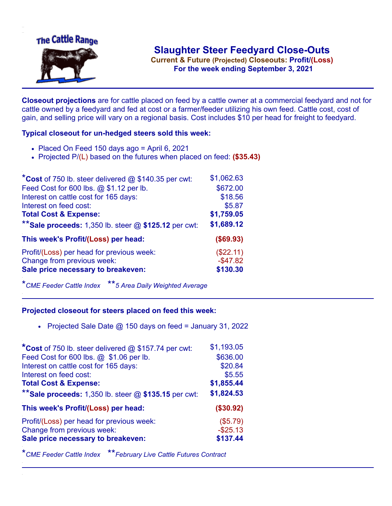

**Current & Future (Projected) Closeouts: Profit/(Loss)** .**For the week ending September 3, 2021**

**Closeout projections** are for cattle placed on feed by a cattle owner at a commercial feedyard and not for cattle owned by a feedyard and fed at cost or a farmer/feeder utilizing his own feed. Cattle cost, cost of gain, and selling price will vary on a regional basis. Cost includes \$10 per head for freight to feedyard.

## **Typical closeout for un-hedged steers sold this week:**

- $\bullet$  Placed On Feed 150 days ago = April 6, 2021
- Projected P/(L) based on the futures when placed on feed: **(\$35.43)**

| *Cost of 750 lb. steer delivered $@$ \$140.35 per cwt:  | \$1,062.63  |
|---------------------------------------------------------|-------------|
| Feed Cost for 600 lbs. @ \$1.12 per lb.                 | \$672.00    |
| Interest on cattle cost for 165 days:                   | \$18.56     |
| Interest on feed cost:                                  | \$5.87      |
| <b>Total Cost &amp; Expense:</b>                        | \$1,759.05  |
| ** Sale proceeds: 1,350 lb. steer $@$ \$125.12 per cwt: | \$1,689.12  |
| This week's Profit/(Loss) per head:                     | (\$69.93)   |
| Profit/(Loss) per head for previous week:               | (\$22.11)   |
| Change from previous week:                              | $-$ \$47.82 |
| Sale price necessary to breakeven:                      | \$130.30    |

\**CME Feeder Cattle Index* \*\**5 Area Daily Weighted Average*

## **Projected closeout for steers placed on feed this week:**

• Projected Sale Date  $@$  150 days on feed = January 31, 2022

| *Cost of 750 lb. steer delivered $@$ \$157.74 per cwt:  | \$1,193.05  |
|---------------------------------------------------------|-------------|
| Feed Cost for 600 lbs. @ \$1.06 per lb.                 | \$636.00    |
| Interest on cattle cost for 165 days:                   | \$20.84     |
| Interest on feed cost:                                  | \$5.55      |
| <b>Total Cost &amp; Expense:</b>                        | \$1,855.44  |
| ** Sale proceeds: 1,350 lb. steer $@$ \$135.15 per cwt: | \$1,824.53  |
| This week's Profit/(Loss) per head:                     | (\$30.92)   |
| Profit/(Loss) per head for previous week:               | (\$5.79)    |
| Change from previous week:                              | $-$ \$25.13 |
|                                                         |             |
| Sale price necessary to breakeven:                      | \$137.44    |

\**CME Feeder Cattle Index* \*\**February Live Cattle Futures Contract*